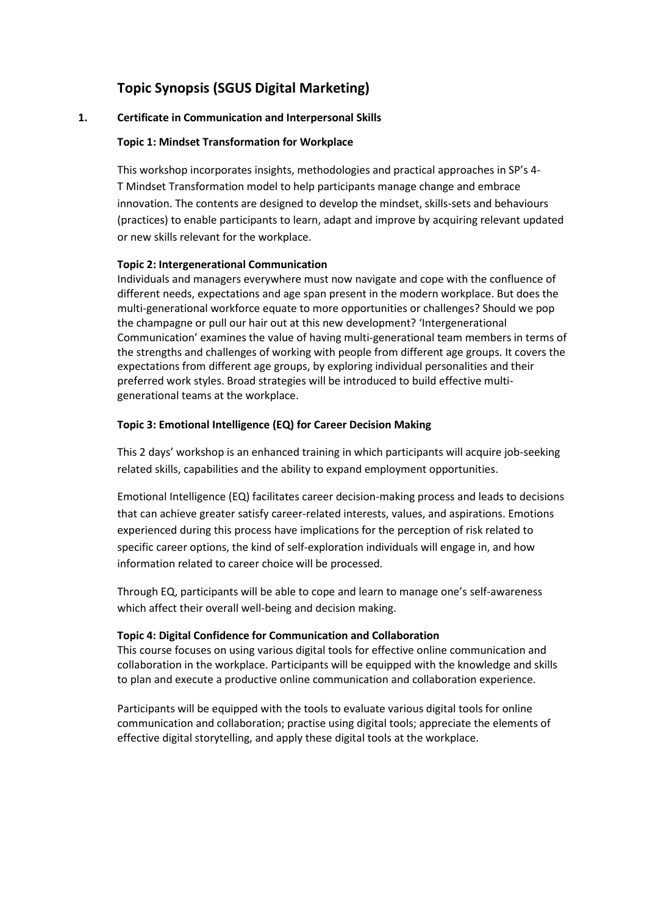# **Topic Synopsis (SGUS Digital Marketing)**

# **1. Certificate in Communication and Interpersonal Skills**

# **Topic 1: Mindset Transformation for Workplace**

This workshop incorporates insights, methodologies and practical approaches in SP's 4- T Mindset Transformation model to help participants manage change and embrace innovation. The contents are designed to develop the mindset, skills-sets and behaviours (practices) to enable participants to learn, adapt and improve by acquiring relevant updated or new skills relevant for the workplace.

# **Topic 2: Intergenerational Communication**

Individuals and managers everywhere must now navigate and cope with the confluence of different needs, expectations and age span present in the modern workplace. But does the multi-generational workforce equate to more opportunities or challenges? Should we pop the champagne or pull our hair out at this new development? 'Intergenerational Communication' examines the value of having multi-generational team members in terms of the strengths and challenges of working with people from different age groups. It covers the expectations from different age groups, by exploring individual personalities and their preferred work styles. Broad strategies will be introduced to build effective multigenerational teams at the workplace.

# **Topic 3: Emotional Intelligence (EQ) for Career Decision Making**

This 2 days' workshop is an enhanced training in which participants will acquire job-seeking related skills, capabilities and the ability to expand employment opportunities.

Emotional Intelligence (EQ) facilitates career decision-making process and leads to decisions that can achieve greater satisfy career-related interests, values, and aspirations. Emotions experienced during this process have implications for the perception of risk related to specific career options, the kind of self-exploration individuals will engage in, and how information related to career choice will be processed.

Through EQ, participants will be able to cope and learn to manage one's self-awareness which affect their overall well-being and decision making.

# **Topic 4: Digital Confidence for Communication and Collaboration**

This course focuses on using various digital tools for effective online communication and collaboration in the workplace. Participants will be equipped with the knowledge and skills to plan and execute a productive online communication and collaboration experience.

Participants will be equipped with the tools to evaluate various digital tools for online communication and collaboration; practise using digital tools; appreciate the elements of effective digital storytelling, and apply these digital tools at the workplace.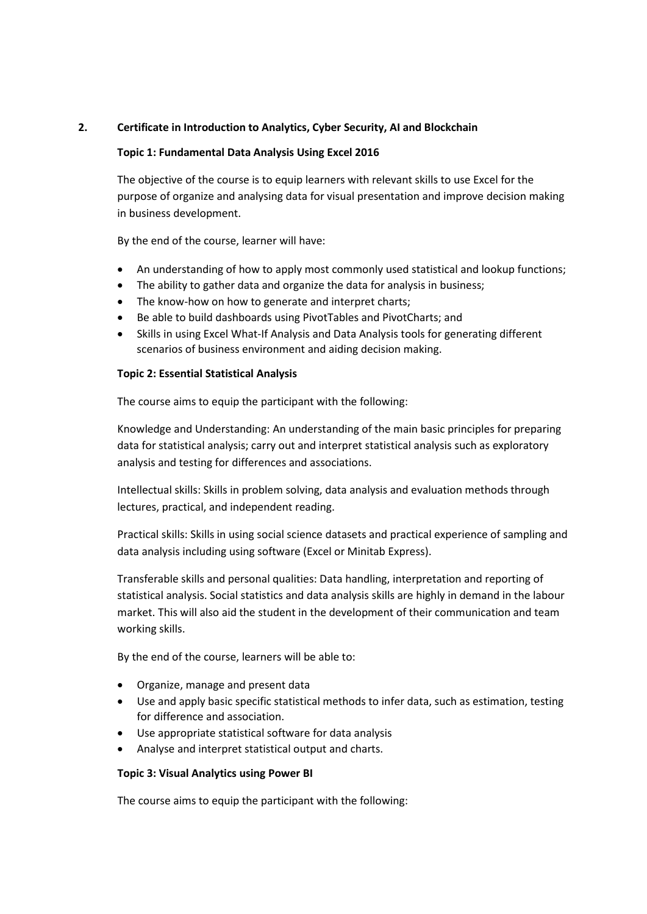# **2. Certificate in Introduction to Analytics, Cyber Security, AI and Blockchain**

# **Topic 1: Fundamental Data Analysis Using Excel 2016**

The objective of the course is to equip learners with relevant skills to use Excel for the purpose of organize and analysing data for visual presentation and improve decision making in business development.

By the end of the course, learner will have:

- An understanding of how to apply most commonly used statistical and lookup functions;
- The ability to gather data and organize the data for analysis in business;
- The know-how on how to generate and interpret charts;
- Be able to build dashboards using PivotTables and PivotCharts; and
- Skills in using Excel What-If Analysis and Data Analysis tools for generating different scenarios of business environment and aiding decision making.

# **Topic 2: Essential Statistical Analysis**

The course aims to equip the participant with the following:

Knowledge and Understanding: An understanding of the main basic principles for preparing data for statistical analysis; carry out and interpret statistical analysis such as exploratory analysis and testing for differences and associations.

Intellectual skills: Skills in problem solving, data analysis and evaluation methods through lectures, practical, and independent reading.

Practical skills: Skills in using social science datasets and practical experience of sampling and data analysis including using software (Excel or Minitab Express).

Transferable skills and personal qualities: Data handling, interpretation and reporting of statistical analysis. Social statistics and data analysis skills are highly in demand in the labour market. This will also aid the student in the development of their communication and team working skills.

By the end of the course, learners will be able to:

- Organize, manage and present data
- Use and apply basic specific statistical methods to infer data, such as estimation, testing for difference and association.
- Use appropriate statistical software for data analysis
- Analyse and interpret statistical output and charts.

# **Topic 3: Visual Analytics using Power BI**

The course aims to equip the participant with the following: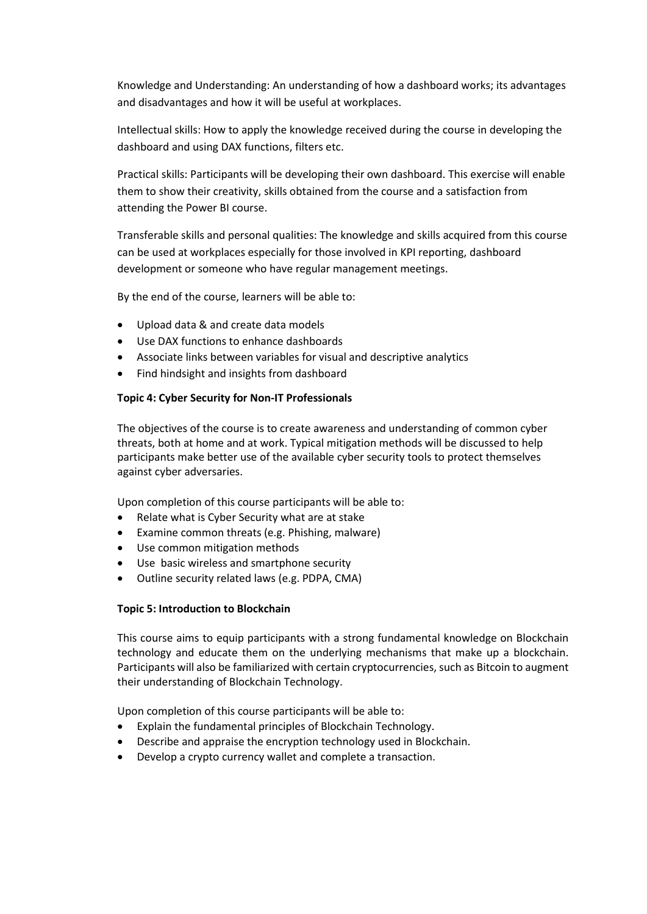Knowledge and Understanding: An understanding of how a dashboard works; its advantages and disadvantages and how it will be useful at workplaces.

Intellectual skills: How to apply the knowledge received during the course in developing the dashboard and using DAX functions, filters etc.

Practical skills: Participants will be developing their own dashboard. This exercise will enable them to show their creativity, skills obtained from the course and a satisfaction from attending the Power BI course.

Transferable skills and personal qualities: The knowledge and skills acquired from this course can be used at workplaces especially for those involved in KPI reporting, dashboard development or someone who have regular management meetings.

By the end of the course, learners will be able to:

- Upload data & and create data models
- Use DAX functions to enhance dashboards
- Associate links between variables for visual and descriptive analytics
- Find hindsight and insights from dashboard

#### **Topic 4: Cyber Security for Non-IT Professionals**

The objectives of the course is to create awareness and understanding of common cyber threats, both at home and at work. Typical mitigation methods will be discussed to help participants make better use of the available cyber security tools to protect themselves against cyber adversaries.

Upon completion of this course participants will be able to:

- Relate what is Cyber Security what are at stake
- Examine common threats (e.g. Phishing, malware)
- Use common mitigation methods
- Use basic wireless and smartphone security
- Outline security related laws (e.g. PDPA, CMA)

#### **Topic 5: Introduction to Blockchain**

This course aims to equip participants with a strong fundamental knowledge on Blockchain technology and educate them on the underlying mechanisms that make up a blockchain. Participants will also be familiarized with certain cryptocurrencies, such as Bitcoin to augment their understanding of Blockchain Technology.

Upon completion of this course participants will be able to:

- Explain the fundamental principles of Blockchain Technology.
- Describe and appraise the encryption technology used in Blockchain.
- Develop a crypto currency wallet and complete a transaction.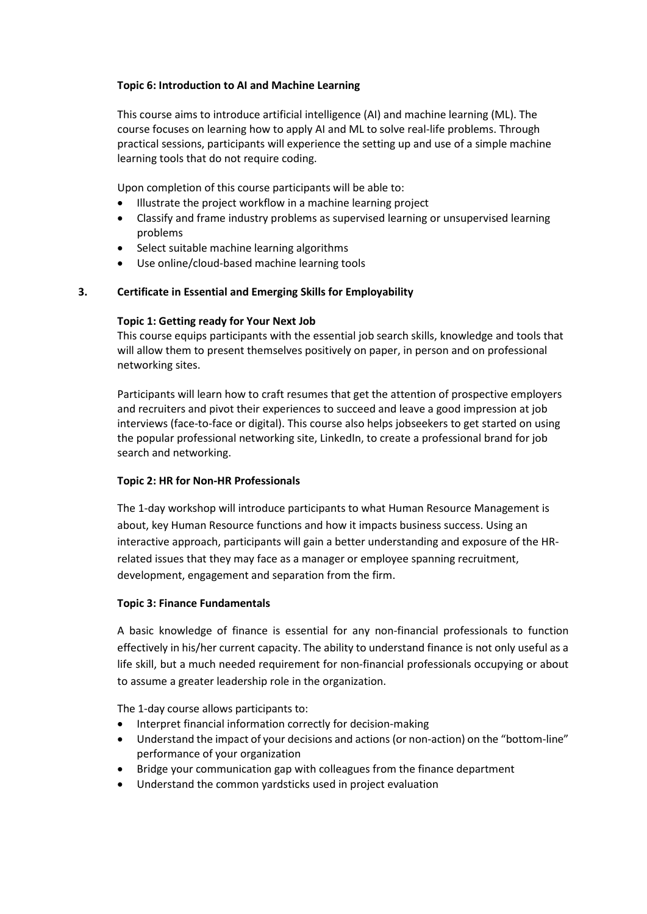# **Topic 6: Introduction to AI and Machine Learning**

This course aims to introduce artificial intelligence (AI) and machine learning (ML). The course focuses on learning how to apply AI and ML to solve real-life problems. Through practical sessions, participants will experience the setting up and use of a simple machine learning tools that do not require coding.

Upon completion of this course participants will be able to:

- Illustrate the project workflow in a machine learning project
- Classify and frame industry problems as supervised learning or unsupervised learning problems
- Select suitable machine learning algorithms
- Use online/cloud-based machine learning tools

# **3. Certificate in Essential and Emerging Skills for Employability**

# **Topic 1: Getting ready for Your Next Job**

This course equips participants with the essential job search skills, knowledge and tools that will allow them to present themselves positively on paper, in person and on professional networking sites.

Participants will learn how to craft resumes that get the attention of prospective employers and recruiters and pivot their experiences to succeed and leave a good impression at job interviews (face-to-face or digital). This course also helps jobseekers to get started on using the popular professional networking site, LinkedIn, to create a professional brand for job search and networking.

# **Topic 2: HR for Non-HR Professionals**

The 1-day workshop will introduce participants to what Human Resource Management is about, key Human Resource functions and how it impacts business success. Using an interactive approach, participants will gain a better understanding and exposure of the HRrelated issues that they may face as a manager or employee spanning recruitment, development, engagement and separation from the firm.

# **Topic 3: Finance Fundamentals**

A basic knowledge of finance is essential for any non-financial professionals to function effectively in his/her current capacity. The ability to understand finance is not only useful as a life skill, but a much needed requirement for non-financial professionals occupying or about to assume a greater leadership role in the organization.

The 1-day course allows participants to:

- Interpret financial information correctly for decision-making
- Understand the impact of your decisions and actions (or non-action) on the "bottom-line" performance of your organization
- Bridge your communication gap with colleagues from the finance department
- Understand the common yardsticks used in project evaluation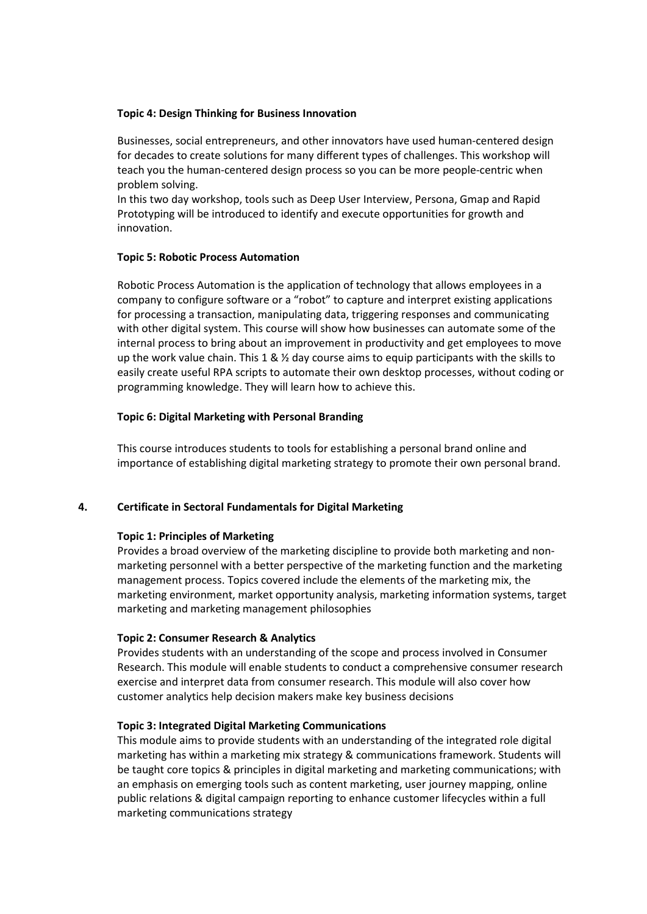#### **Topic 4: Design Thinking for Business Innovation**

Businesses, social entrepreneurs, and other innovators have used human-centered design for decades to create solutions for many different types of challenges. This workshop will teach you the human-centered design process so you can be more people-centric when problem solving.

In this two day workshop, tools such as Deep User Interview, Persona, Gmap and Rapid Prototyping will be introduced to identify and execute opportunities for growth and innovation.

# **Topic 5: Robotic Process Automation**

Robotic Process Automation is the application of technology that allows employees in a company to configure software or a "robot" to capture and interpret existing applications for processing a transaction, manipulating data, triggering responses and communicating with other digital system. This course will show how businesses can automate some of the internal process to bring about an improvement in productivity and get employees to move up the work value chain. This 1 &  $\frac{1}{2}$  day course aims to equip participants with the skills to easily create useful RPA scripts to automate their own desktop processes, without coding or programming knowledge. They will learn how to achieve this.

#### **Topic 6: Digital Marketing with Personal Branding**

This course introduces students to tools for establishing a personal brand online and importance of establishing digital marketing strategy to promote their own personal brand.

#### **4. Certificate in Sectoral Fundamentals for Digital Marketing**

#### **Topic 1: Principles of Marketing**

Provides a broad overview of the marketing discipline to provide both marketing and nonmarketing personnel with a better perspective of the marketing function and the marketing management process. Topics covered include the elements of the marketing mix, the marketing environment, market opportunity analysis, marketing information systems, target marketing and marketing management philosophies

#### **Topic 2: Consumer Research & Analytics**

Provides students with an understanding of the scope and process involved in Consumer Research. This module will enable students to conduct a comprehensive consumer research exercise and interpret data from consumer research. This module will also cover how customer analytics help decision makers make key business decisions

#### **Topic 3: Integrated Digital Marketing Communications**

This module aims to provide students with an understanding of the integrated role digital marketing has within a marketing mix strategy & communications framework. Students will be taught core topics & principles in digital marketing and marketing communications; with an emphasis on emerging tools such as content marketing, user journey mapping, online public relations & digital campaign reporting to enhance customer lifecycles within a full marketing communications strategy